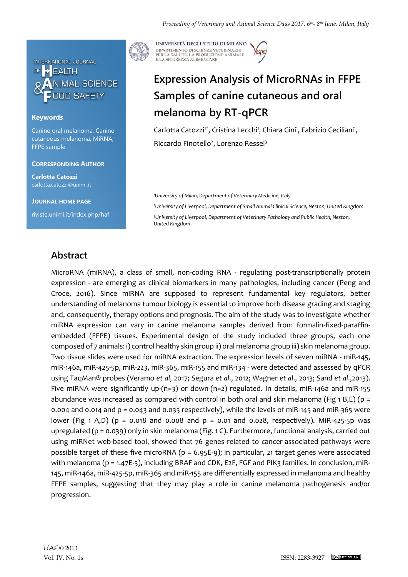

### **Keywords**

Canine oral melanoma, Canine cutaneous melanoma, MiRNA, FFPE sample

#### **CORRESPONDING AUTHOR**

**Carlotta Catozzi** carlotta.catozzi@unimi.it

**JOURNAL HOME PAGE** riviste.unimi.it/index.php/haf



UNIVERSITÀ DEGLI STUDI DI MILANO DIPARTIMENTO DI SCIENZE VETERINARIE PER LA SALUTE, LA PRODUZIONE ANIMALE<br>E LA SICUREZZA ALIMENTARE

# **Expression Analysis of MicroRNAs in FFPE Samples of canine cutaneous and oral melanoma by RT-qPCR**

Carlotta Catozzi<sup>1\*</sup>, Cristina Lecchi<sup>1</sup>, Chiara Gini<sup>1</sup>, Fabrizio Ceciliani<sup>1</sup>, Riccardo Finotello<sup>2</sup>, Lorenzo Ressel<sup>3</sup>

*<sup>1</sup>University of Milan, Department of Veterinary Medicine, Italy*

*<sup>2</sup>University of Liverpool, Department of Small Animal Clinical Science, Neston, United Kingdom <sup>3</sup>University of Liverpool, Department of Veterinary Pathology and Public Health, Neston, United Kingdom*

### **Abstract**

MicroRNA (miRNA), a class of small, non-coding RNA - regulating post-transcriptionally protein expression - are emerging as clinical biomarkers in many pathologies, including cancer (Peng and Croce, 2016). Since miRNA are supposed to represent fundamental key regulators, better understanding of melanoma tumour biology is essential to improve both disease grading and staging and, consequently, therapy options and prognosis. The aim of the study was to investigate whether miRNA expression can vary in canine melanoma samples derived from formalin-fixed-paraffinembedded (FFPE) tissues. Experimental design of the study included three groups, each one composed of 7 animals: i) control healthy skin group ii) oral melanoma group iii) skin melanoma group. Two tissue slides were used for miRNA extraction. The expression levels of seven miRNA - miR-145, miR-146a, miR-425-5p, miR-223, miR-365, miR-155 and miR-134 - were detected and assessed by qPCR using TaqMan® probes (Veramo *et al*, 2017; Segura *et al*., 2012; Wagner *et al*., 2013; Sand *et al*.,2013). Five miRNA were significantly up-(n=3) or down-(n=2) regulated. In details, miR-146a and miR-155 abundance was increased as compared with control in both oral and skin melanoma (Fig 1 B,E) ( $p =$ 0.004 and 0.014 and p = 0.043 and 0.035 respectively), while the levels of miR-145 and miR-365 were lower (Fig 1 A,D) (p = 0.018 and 0.008 and p = 0.01 and 0.028, respectively). MiR-425-5p was upregulated (p = 0.039) only in skin melanoma (Fig. 1 C). Furthermore, functional analysis, carried out using miRNet web-based tool, showed that 76 genes related to cancer-associated pathways were possible target of these five microRNA (p = 6.95E-9); in particular, 21 target genes were associated with melanoma (p = 1.47E-5), including BRAF and CDK, E2F, FGF and PIK3 families. In conclusion, miR-145, miR-146a, miR-425-5p, miR-365 and miR-155 are differentially expressed in melanoma and healthy FFPE samples, suggesting that they may play a role in canine melanoma pathogenesis and/or progression.